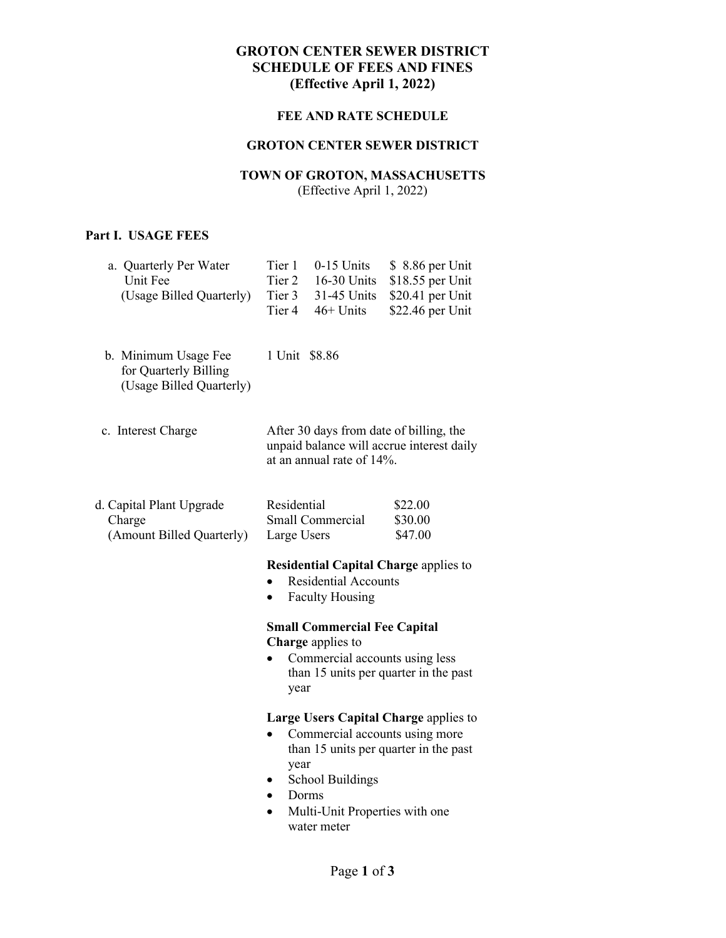## **GROTON CENTER SEWER DISTRICT SCHEDULE OF FEES AND FINES (Effective April 1, 2022)**

## **FEE AND RATE SCHEDULE**

## **GROTON CENTER SEWER DISTRICT**

# **TOWN OF GROTON, MASSACHUSETTS**

(Effective April 1, 2022)

# **Part I. USAGE FEES**

| a. Quarterly Per Water<br>Unit Fee<br>(Usage Billed Quarterly)            | $0-15$ Units<br>Tier 1<br>\$ 8.86 per Unit<br>Tier 2<br>16-30 Units<br>\$18.55 per Unit<br>Tier 3<br>31-45 Units<br>\$20.41 per Unit<br>46+ Units<br>Tier 4<br>\$22.46 per Unit                                                         |
|---------------------------------------------------------------------------|-----------------------------------------------------------------------------------------------------------------------------------------------------------------------------------------------------------------------------------------|
| b. Minimum Usage Fee<br>for Quarterly Billing<br>(Usage Billed Quarterly) | 1 Unit \$8.86                                                                                                                                                                                                                           |
| c. Interest Charge                                                        | After 30 days from date of billing, the<br>unpaid balance will accrue interest daily<br>at an annual rate of 14%.                                                                                                                       |
| d. Capital Plant Upgrade<br>Charge<br>(Amount Billed Quarterly)           | Residential<br>\$22.00<br>Small Commercial<br>\$30.00<br>Large Users<br>\$47.00                                                                                                                                                         |
|                                                                           | <b>Residential Capital Charge applies to</b><br><b>Residential Accounts</b><br><b>Faculty Housing</b><br>$\bullet$                                                                                                                      |
|                                                                           | <b>Small Commercial Fee Capital</b><br>Charge applies to<br>Commercial accounts using less<br>than 15 units per quarter in the past<br>year                                                                                             |
|                                                                           | Large Users Capital Charge applies to<br>Commercial accounts using more<br>$\bullet$<br>than 15 units per quarter in the past<br>year<br><b>School Buildings</b><br>Dorms<br>$\bullet$<br>Multi-Unit Properties with one<br>water meter |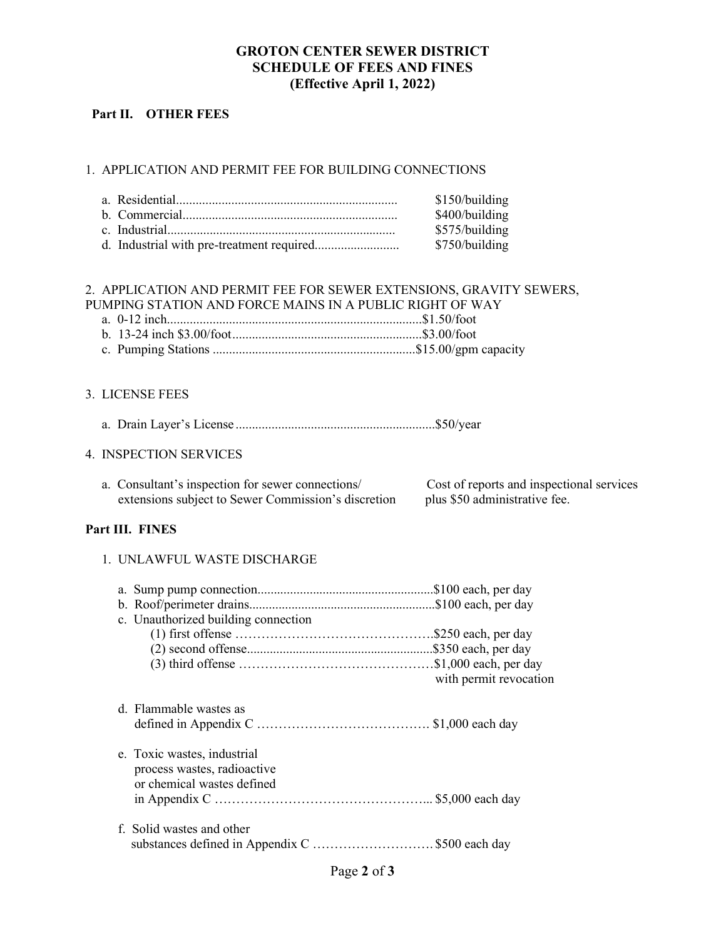## **GROTON CENTER SEWER DISTRICT SCHEDULE OF FEES AND FINES (Effective April 1, 2022)**

## **Part II. OTHER FEES**

## 1. APPLICATION AND PERMIT FEE FOR BUILDING CONNECTIONS

| \$150/building |
|----------------|
| \$400/building |
| \$575/building |
| \$750/building |

## 2. APPLICATION AND PERMIT FEE FOR SEWER EXTENSIONS, GRAVITY SEWERS, PUMPING STATION AND FORCE MAINS IN A PUBLIC RIGHT OF WAY

#### 3. LICENSE FEES

a. Drain Layer's License .............................................................\$50/year

#### 4. INSPECTION SERVICES

| a. Consultant's inspection for sewer connections/   | Cost of reports and inspectional services |
|-----------------------------------------------------|-------------------------------------------|
| extensions subject to Sewer Commission's discretion | plus \$50 administrative fee.             |

## **Part III. FINES**

#### 1. UNLAWFUL WASTE DISCHARGE

| c. Unauthorized building connection                                                      | with permit revocation |
|------------------------------------------------------------------------------------------|------------------------|
| d. Flammable wastes as                                                                   |                        |
| e. Toxic wastes, industrial<br>process wastes, radioactive<br>or chemical wastes defined |                        |
| f. Solid wastes and other<br>substances defined in Appendix C \$500 each day             |                        |